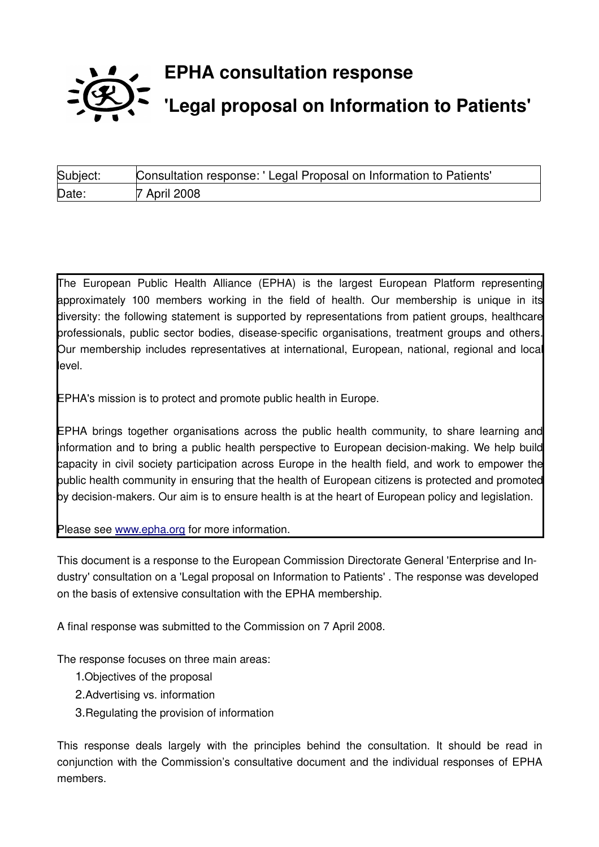

| Subject: | Consultation response: 'Legal Proposal on Information to Patients' |
|----------|--------------------------------------------------------------------|
| Date:    | 7 April 2008                                                       |

The European Public Health Alliance (EPHA) is the largest European Platform representing approximately 100 members working in the field of health. Our membership is unique in its diversity: the following statement is supported by representations from patient groups, healthcare professionals, public sector bodies, disease-specific organisations, treatment groups and others. Our membership includes representatives at international, European, national, regional and local level.

EPHA's mission is to protect and promote public health in Europe.

EPHA brings together organisations across the public health community, to share learning and information and to bring a public health perspective to European decision-making. We help build capacity in civil society participation across Europe in the health field, and work to empower the public health community in ensuring that the health of European citizens is protected and promoted by decision-makers. Our aim is to ensure health is at the heart of European policy and legislation.

Please see [www.epha.org](http://www.epha.org/) for more information.

This document is a response to the European Commission Directorate General 'Enterprise and Industry' consultation on a 'Legal proposal on Information to Patients' . The response was developed on the basis of extensive consultation with the EPHA membership.

A final response was submitted to the Commission on 7 April 2008.

The response focuses on three main areas:

- 1.Objectives of the proposal
- 2.Advertising vs. information
- 3.Regulating the provision of information

This response deals largely with the principles behind the consultation. It should be read in conjunction with the Commission's consultative document and the individual responses of EPHA members.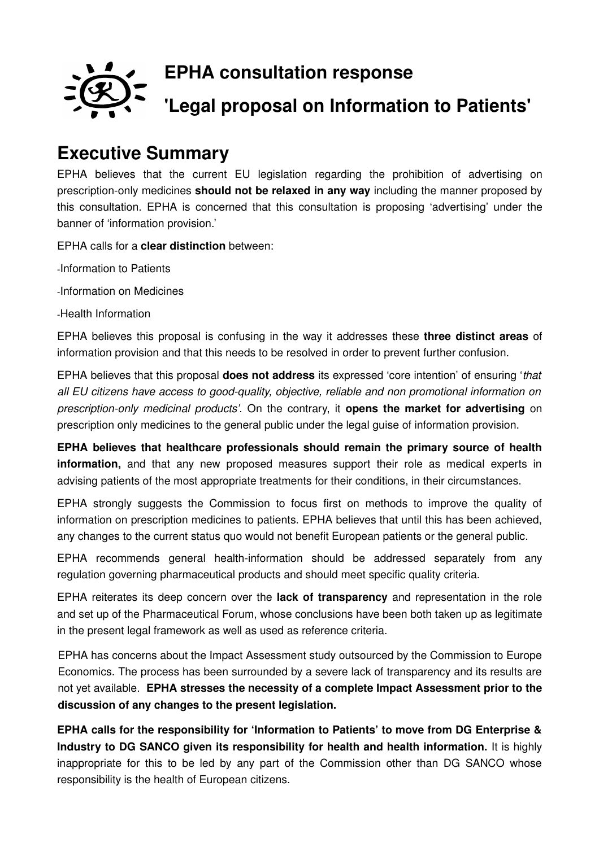

## **Executive Summary**

EPHA believes that the current EU legislation regarding the prohibition of advertising on prescription-only medicines **should not be relaxed in any way** including the manner proposed by this consultation. EPHA is concerned that this consultation is proposing 'advertising' under the banner of 'information provision.'

EPHA calls for a **clear distinction** between:

-Information to Patients

-Information on Medicines

-Health Information

EPHA believes this proposal is confusing in the way it addresses these **three distinct areas** of information provision and that this needs to be resolved in order to prevent further confusion.

EPHA believes that this proposal **does not address** its expressed 'core intention' of ensuring '*that* all EU citizens have access to good-quality, objective, reliable and non promotional information on *prescription-only medicinal products'*. On the contrary, it **opens the market for advertising** on prescription only medicines to the general public under the legal guise of information provision.

**EPHA believes that healthcare professionals should remain the primary source of health information**, and that any new proposed measures support their role as medical experts in advising patients of the most appropriate treatments for their conditions, in their circumstances.

EPHA strongly suggests the Commission to focus first on methods to improve the quality of information on prescription medicines to patients. EPHA believes that until this has been achieved, any changes to the current status quo would not benefit European patients or the general public.

EPHA recommends general health-information should be addressed separately from any regulation governing pharmaceutical products and should meet specific quality criteria.

EPHA reiterates its deep concern over the **lack of transparency** and representation in the role and set up of the Pharmaceutical Forum, whose conclusions have been both taken up as legitimate in the present legal framework as well as used as reference criteria.

EPHA has concerns about the Impact Assessment study outsourced by the Commission to Europe Economics. The process has been surrounded by a severe lack of transparency and its results are not yet available. **EPHA stresses the necessity of a complete Impact Assessment prior to the discussion of any changes to the present legislation.**

**EPHA calls for the responsibility for 'Information to Patients' to move from DG Enterprise & Industry to DG SANCO given its responsibility for health and health information.** It is highly inappropriate for this to be led by any part of the Commission other than DG SANCO whose responsibility is the health of European citizens.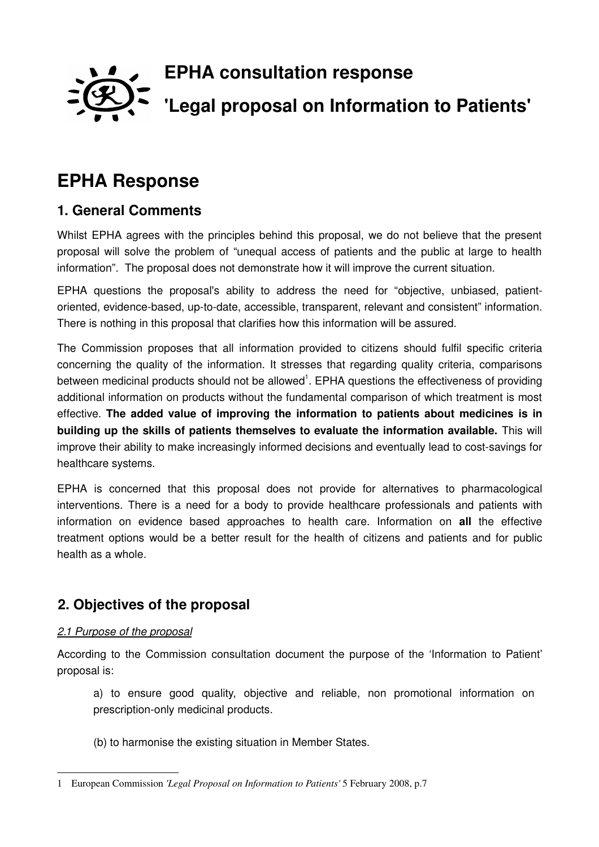

# **EPHA Response**

## **1. General Comments**

Whilst EPHA agrees with the principles behind this proposal, we do not believe that the present proposal will solve the problem of "unequal access of patients and the public at large to health information". The proposal does not demonstrate how it will improve the current situation.

EPHA questions the proposal's ability to address the need for "objective, unbiased, patientoriented, evidence-based, up-to-date, accessible, transparent, relevant and consistent" information. There is nothing in this proposal that clarifies how this information will be assured.

The Commission proposes that all information provided to citizens should fulfil specific criteria concerning the quality of the information. It stresses that regarding quality criteria, comparisons between medicinal products should not be allowed<sup>[1](#page-2-0)</sup>. EPHA questions the effectiveness of providing additional information on products without the fundamental comparison of which treatment is most effective. **The added value of improving the information to patients about medicines is in building up the skills of patients themselves to evaluate the information available.** This will improve their ability to make increasingly informed decisions and eventually lead to cost-savings for healthcare systems.

EPHA is concerned that this proposal does not provide for alternatives to pharmacological interventions. There is a need for a body to provide healthcare professionals and patients with information on evidence based approaches to health care. Information on all the effective treatment options would be a better result for the health of citizens and patients and for public health as a whole.

## **2. Objectives of the proposal**

#### *2.1 Purpose of the proposal*

According to the Commission consultation document the purpose of the 'Information to Patient' proposal is:

a) to ensure good quality, objective and reliable, non promotional information on prescription-only medicinal products.

(b) to harmonise the existing situation in Member States.

<span id="page-2-0"></span><sup>1</sup> European Commission *'Legal Proposal on Information to Patients'* 5 February 2008, p.7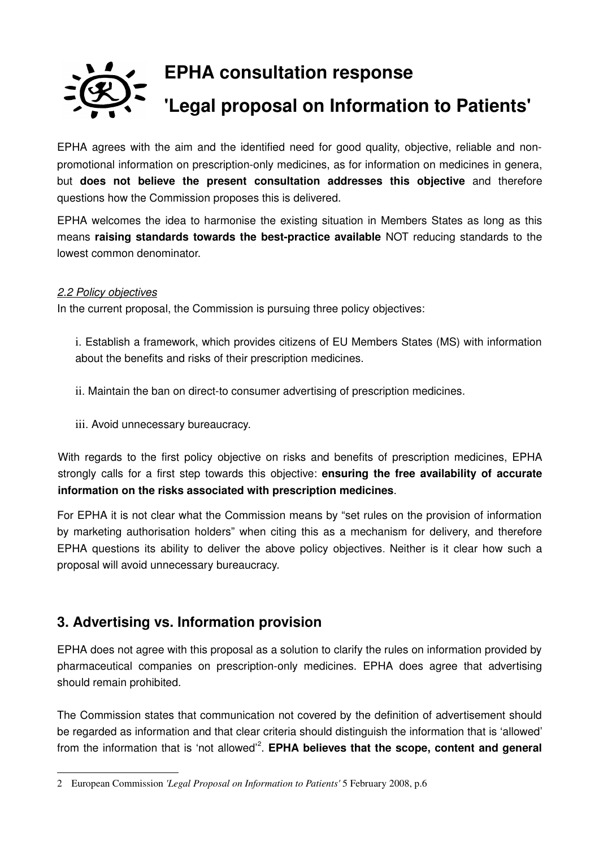# **EPHA consultation response 'Legal proposal on Information to Patients'**

EPHA agrees with the aim and the identified need for good quality, objective, reliable and nonpromotional information on prescription-only medicines, as for information on medicines in genera, but does not believe the present consultation addresses this objective and therefore questions how the Commission proposes this is delivered.

EPHA welcomes the idea to harmonise the existing situation in Members States as long as this means **raising standards towards the best-practice available** NOT reducing standards to the lowest common denominator.

#### *2.2 Policy objectives*

In the current proposal, the Commission is pursuing three policy objectives:

i. Establish a framework, which provides citizens of EU Members States (MS) with information about the benefits and risks of their prescription medicines.

ii. Maintain the ban on direct-to consumer advertising of prescription medicines.

iii. Avoid unnecessary bureaucracy.

With regards to the first policy objective on risks and benefits of prescription medicines, EPHA strongly calls for a first step towards this objective: **ensuring the free availability of accurate information on the risks associated with prescription medicines**.

For EPHA it is not clear what the Commission means by "set rules on the provision of information by marketing authorisation holders" when citing this as a mechanism for delivery, and therefore EPHA questions its ability to deliver the above policy objectives. Neither is it clear how such a proposal will avoid unnecessary bureaucracy.

## **3. Advertising vs. Information provision**

EPHA does not agree with this proposal as a solution to clarify the rules on information provided by pharmaceutical companies on prescription-only medicines. EPHA does agree that advertising should remain prohibited.

The Commission states that communication not covered by the definition of advertisement should be regarded as information and that clear criteria should distinguish the information that is 'allowed' from the information that is 'not allowed'<sup>[2](#page-3-0)</sup>. EPHA believes that the scope, content and general

<span id="page-3-0"></span><sup>2</sup> European Commission *'Legal Proposal on Information to Patients'* 5 February 2008, p.6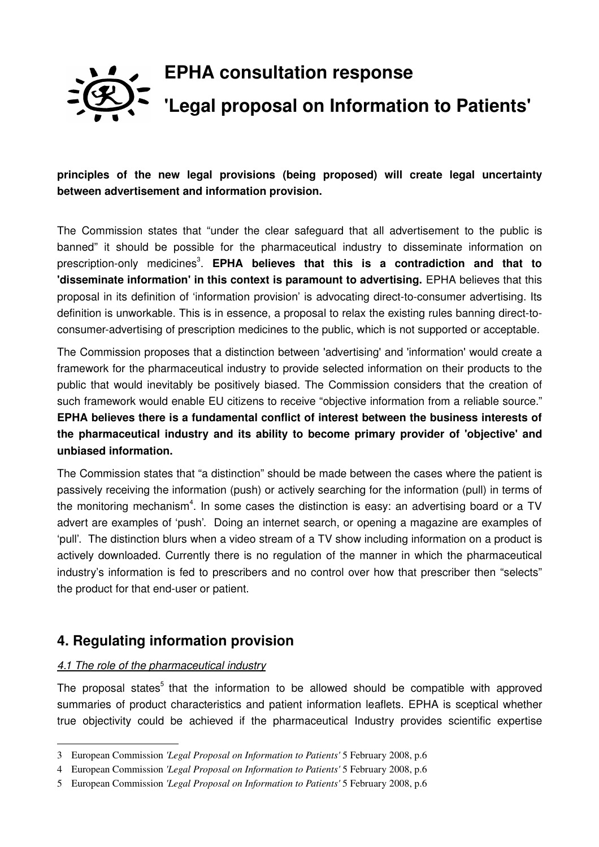

#### **principles of the new legal provisions (being proposed) will create legal uncertainty between advertisement and information provision.**

The Commission states that "under the clear safeguard that all advertisement to the public is banned" it should be possible for the pharmaceutical industry to disseminate information on prescription-only medicines<sup>[3](#page-4-0)</sup>. EPHA believes that this is a contradiction and that to **'disseminate information' in this context is paramount to advertising.** EPHA believes that this proposal in its definition of 'information provision' is advocating direct-to-consumer advertising. Its definition is unworkable. This is in essence, a proposal to relax the existing rules banning direct-toconsumer-advertising of prescription medicines to the public, which is not supported or acceptable.

The Commission proposes that a distinction between 'advertising' and 'information' would create a framework for the pharmaceutical industry to provide selected information on their products to the public that would inevitably be positively biased. The Commission considers that the creation of such framework would enable EU citizens to receive "objective information from a reliable source." **EPHA believes there is a fundamental conflict of interest between the business interests of the pharmaceutical industry and its ability to become primary provider of 'objective' and unbiased information.** 

The Commission states that "a distinction" should be made between the cases where the patient is passively receiving the information (push) or actively searching for the information (pull) in terms of the monitoring mechanism<sup>[4](#page-4-1)</sup>. In some cases the distinction is easy: an advertising board or a TV advert are examples of 'push'. Doing an internet search, or opening a magazine are examples of 'pull'. The distinction blurs when a video stream of a TV show including information on a product is actively downloaded. Currently there is no regulation of the manner in which the pharmaceutical industry's information is fed to prescribers and no control over how that prescriber then "selects" the product for that end-user or patient.

### **4. Regulating information provision**

#### *4.1 The role of the pharmaceutical industry*

The proposal states<sup>[5](#page-4-2)</sup> that the information to be allowed should be compatible with approved summaries of product characteristics and patient information leaflets. EPHA is sceptical whether true objectivity could be achieved if the pharmaceutical Industry provides scientific expertise

<span id="page-4-0"></span><sup>3</sup> European Commission *'Legal Proposal on Information to Patients'* 5 February 2008, p.6

<span id="page-4-1"></span><sup>4</sup> European Commission *'Legal Proposal on Information to Patients'* 5 February 2008, p.6

<span id="page-4-2"></span><sup>5</sup> European Commission *'Legal Proposal on Information to Patients'* 5 February 2008, p.6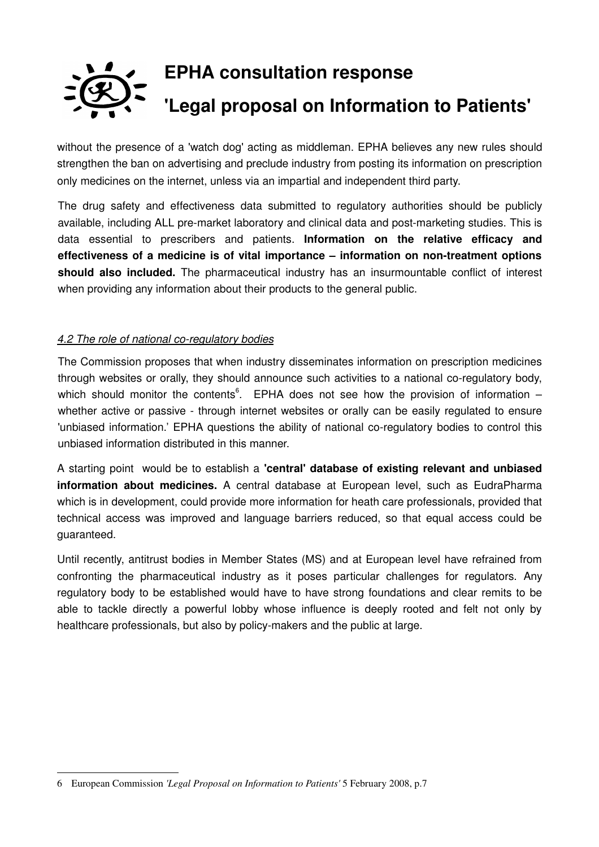

without the presence of a 'watch dog' acting as middleman. EPHA believes any new rules should strengthen the ban on advertising and preclude industry from posting its information on prescription only medicines on the internet, unless via an impartial and independent third party.

The drug safety and effectiveness data submitted to regulatory authorities should be publicly available, including ALL pre-market laboratory and clinical data and post-marketing studies. This is data essential to prescribers and patients. **Information on the relative efficacy and** effectiveness of a medicine is of vital importance – information on non-treatment options should also included. The pharmaceutical industry has an insurmountable conflict of interest when providing any information about their products to the general public.

#### *4.2 The role of national coregulatory bodies*

The Commission proposes that when industry disseminates information on prescription medicines through websites or orally, they should announce such activities to a national co-regulatory body, which should monitor the contents ${}^{6}$  ${}^{6}$  ${}^{6}$ . EPHA does not see how the provision of information  $$ whether active or passive - through internet websites or orally can be easily regulated to ensure 'unbiased information.' EPHA questions the ability of national co-regulatory bodies to control this unbiased information distributed in this manner.

A starting point would be to establish a **'central' database of existing relevant and unbiased information about medicines.** A central database at European level, such as EudraPharma which is in development, could provide more information for heath care professionals, provided that technical access was improved and language barriers reduced, so that equal access could be guaranteed.

Until recently, antitrust bodies in Member States (MS) and at European level have refrained from confronting the pharmaceutical industry as it poses particular challenges for regulators. Any regulatory body to be established would have to have strong foundations and clear remits to be able to tackle directly a powerful lobby whose influence is deeply rooted and felt not only by healthcare professionals, but also by policy-makers and the public at large.

<span id="page-5-0"></span><sup>6</sup> European Commission *'Legal Proposal on Information to Patients'* 5 February 2008, p.7